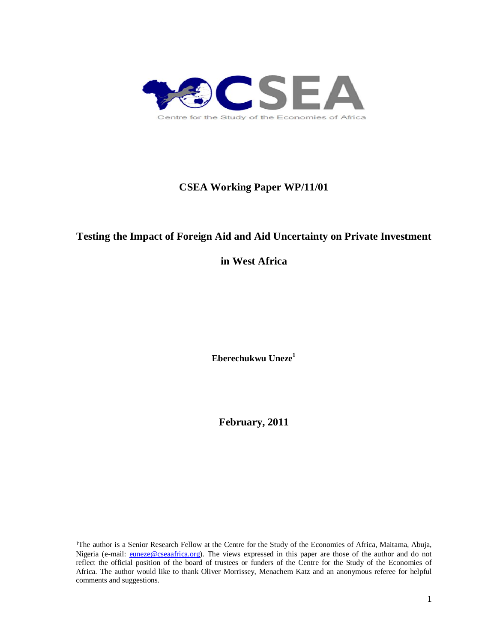

# **CSEA Working Paper WP/11/01**

# **Testing the Impact of Foreign Aid and Aid Uncertainty on Private Investment**

**in West Africa**

**Eberechukwu Uneze<sup>1</sup>**

**February, 2011**

-

<sup>1</sup>The author is a Senior Research Fellow at the Centre for the Study of the Economies of Africa, Maitama, Abuja, Nigeria (e-mail: euneze@cseaafrica.org). The views expressed in this paper are those of the author and do not reflect the official position of the board of trustees or funders of the Centre for the Study of the Economies of Africa. The author would like to thank Oliver Morrissey, Menachem Katz and an anonymous referee for helpful comments and suggestions.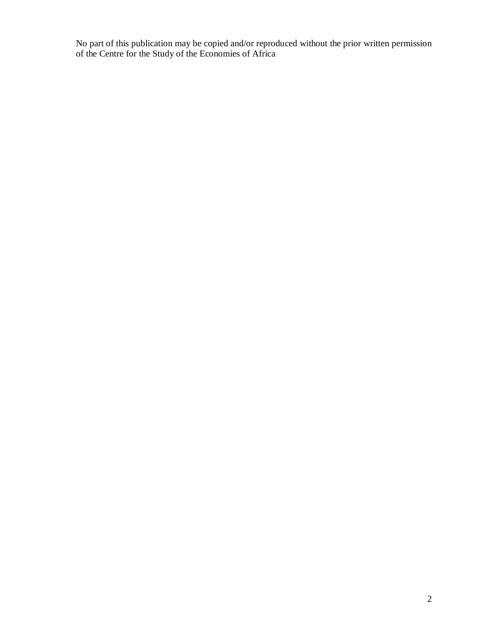No part of this publication may be copied and/or reproduced without the prior written permission of the Centre for the Study of the Economies of Africa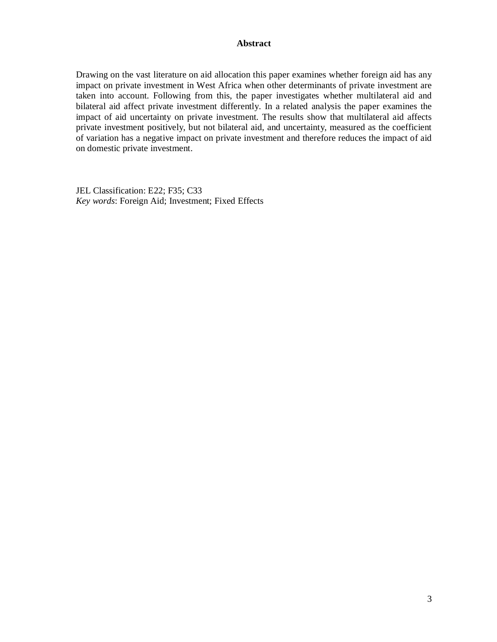#### **Abstract**

Drawing on the vast literature on aid allocation this paper examines whether foreign aid has any impact on private investment in West Africa when other determinants of private investment are taken into account. Following from this, the paper investigates whether multilateral aid and bilateral aid affect private investment differently. In a related analysis the paper examines the impact of aid uncertainty on private investment. The results show that multilateral aid affects private investment positively, but not bilateral aid, and uncertainty, measured as the coefficient of variation has a negative impact on private investment and therefore reduces the impact of aid on domestic private investment.

JEL Classification: E22; F35; C33 *Key words*: Foreign Aid; Investment; Fixed Effects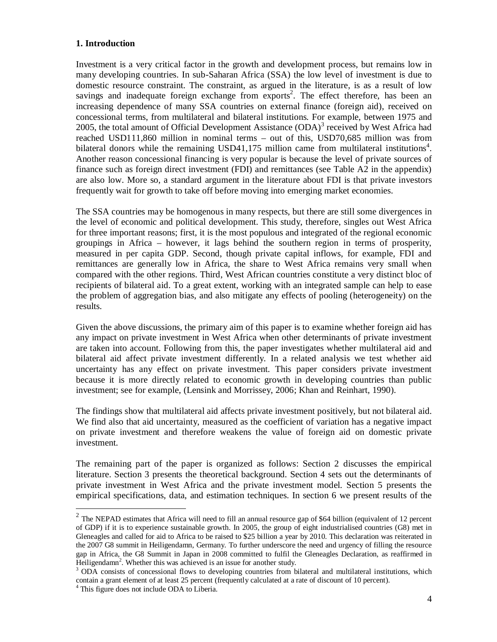### **1. Introduction**

Investment is a very critical factor in the growth and development process, but remains low in many developing countries. In sub-Saharan Africa (SSA) the low level of investment is due to domestic resource constraint. The constraint, as argued in the literature, is as a result of low savings and inadequate foreign exchange from exports<sup>2</sup>. The effect therefore, has been an increasing dependence of many SSA countries on external finance (foreign aid), received on concessional terms, from multilateral and bilateral institutions. For example, between 1975 and 2005, the total amount of Official Development Assistance  $(ODA)^3$  received by West Africa had reached USD111,860 million in nominal terms – out of this, USD70,685 million was from bilateral donors while the remaining USD41,175 million came from multilateral institutions<sup>4</sup>. Another reason concessional financing is very popular is because the level of private sources of finance such as foreign direct investment (FDI) and remittances (see Table A2 in the appendix) are also low. More so, a standard argument in the literature about FDI is that private investors frequently wait for growth to take off before moving into emerging market economies.

The SSA countries may be homogenous in many respects, but there are still some divergences in the level of economic and political development. This study, therefore, singles out West Africa for three important reasons; first, it is the most populous and integrated of the regional economic groupings in Africa – however, it lags behind the southern region in terms of prosperity, measured in per capita GDP. Second, though private capital inflows, for example, FDI and remittances are generally low in Africa, the share to West Africa remains very small when compared with the other regions. Third, West African countries constitute a very distinct bloc of recipients of bilateral aid. To a great extent, working with an integrated sample can help to ease the problem of aggregation bias, and also mitigate any effects of pooling (heterogeneity) on the results.

Given the above discussions, the primary aim of this paper is to examine whether foreign aid has any impact on private investment in West Africa when other determinants of private investment are taken into account. Following from this, the paper investigates whether multilateral aid and bilateral aid affect private investment differently. In a related analysis we test whether aid uncertainty has any effect on private investment. This paper considers private investment because it is more directly related to economic growth in developing countries than public investment; see for example, (Lensink and Morrissey, 2006; Khan and Reinhart, 1990).

The findings show that multilateral aid affects private investment positively, but not bilateral aid. We find also that aid uncertainty, measured as the coefficient of variation has a negative impact on private investment and therefore weakens the value of foreign aid on domestic private investment.

The remaining part of the paper is organized as follows: Section 2 discusses the empirical literature. Section 3 presents the theoretical background. Section 4 sets out the determinants of private investment in West Africa and the private investment model. Section 5 presents the empirical specifications, data, and estimation techniques. In section 6 we present results of the

<sup>&</sup>lt;sup>2</sup> The NEPAD estimates that Africa will need to fill an annual resource gap of \$64 billion (equivalent of 12 percent of GDP) if it is to experience sustainable growth. In 2005, the group of eight industrialised countries (G8) met in Gleneagles and called for aid to Africa to be raised to \$25 billion a year by 2010. This declaration was reiterated in the 2007 G8 summit in Heiligendamn, Germany. To further underscore the need and urgency of filling the resource gap in Africa, the G8 Summit in Japan in 2008 committed to fulfil the Gleneagles Declaration, as reaffirmed in Heiligendamn<sup>2</sup>. Whether this was achieved is an issue for another study.

<sup>&</sup>lt;sup>3</sup> ODA consists of concessional flows to developing countries from bilateral and multilateral institutions, which contain a grant element of at least 25 percent (frequently calculated at a rate of discount of 10 percent).

<sup>&</sup>lt;sup>4</sup> This figure does not include ODA to Liberia.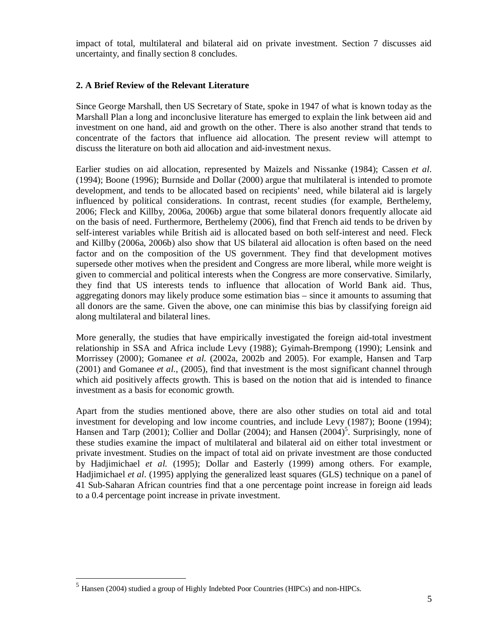impact of total, multilateral and bilateral aid on private investment. Section 7 discusses aid uncertainty, and finally section 8 concludes.

### **2. A Brief Review of the Relevant Literature**

Since George Marshall, then US Secretary of State, spoke in 1947 of what is known today as the Marshall Plan a long and inconclusive literature has emerged to explain the link between aid and investment on one hand, aid and growth on the other. There is also another strand that tends to concentrate of the factors that influence aid allocation. The present review will attempt to discuss the literature on both aid allocation and aid-investment nexus.

Earlier studies on aid allocation, represented by Maizels and Nissanke (1984); Cassen *et al*. (1994); Boone (1996); Burnside and Dollar (2000) argue that multilateral is intended to promote development, and tends to be allocated based on recipients' need, while bilateral aid is largely influenced by political considerations. In contrast, recent studies (for example, Berthelemy, 2006; Fleck and Killby, 2006a, 2006b) argue that some bilateral donors frequently allocate aid on the basis of need. Furthermore, Berthelemy (2006), find that French aid tends to be driven by self-interest variables while British aid is allocated based on both self-interest and need. Fleck and Killby (2006a, 2006b) also show that US bilateral aid allocation is often based on the need factor and on the composition of the US government. They find that development motives supersede other motives when the president and Congress are more liberal, while more weight is given to commercial and political interests when the Congress are more conservative. Similarly, they find that US interests tends to influence that allocation of World Bank aid. Thus, aggregating donors may likely produce some estimation bias – since it amounts to assuming that all donors are the same. Given the above, one can minimise this bias by classifying foreign aid along multilateral and bilateral lines.

More generally, the studies that have empirically investigated the foreign aid-total investment relationship in SSA and Africa include Levy (1988); Gyimah-Brempong (1990); Lensink and Morrissey (2000); Gomanee *et al.* (2002a, 2002b and 2005). For example, Hansen and Tarp (2001) and Gomanee *et al.*, (2005), find that investment is the most significant channel through which aid positively affects growth. This is based on the notion that aid is intended to finance investment as a basis for economic growth.

Apart from the studies mentioned above, there are also other studies on total aid and total investment for developing and low income countries, and include Levy (1987); Boone (1994); Hansen and Tarp  $(2001)$ ; Collier and Dollar  $(2004)$ ; and Hansen  $(2004)^5$ . Surprisingly, none of these studies examine the impact of multilateral and bilateral aid on either total investment or private investment. Studies on the impact of total aid on private investment are those conducted by Hadjimichael *et al.* (1995); Dollar and Easterly (1999) among others. For example, Hadjimichael *et al.* (1995) applying the generalized least squares (GLS) technique on a panel of 41 Sub-Saharan African countries find that a one percentage point increase in foreign aid leads to a 0.4 percentage point increase in private investment.

-

<sup>5</sup> Hansen (2004) studied a group of Highly Indebted Poor Countries (HIPCs) and non-HIPCs.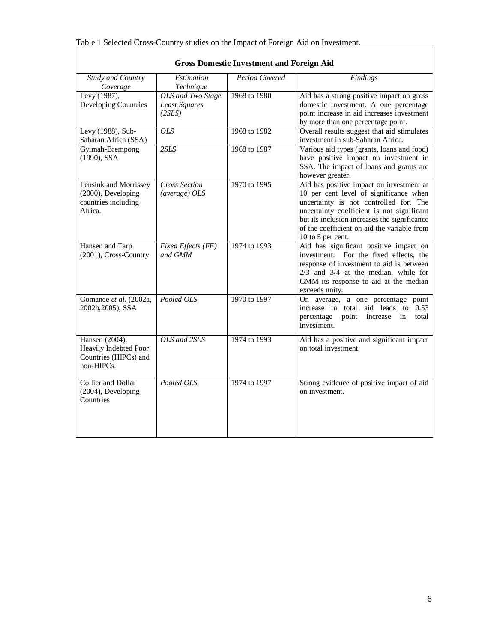| <b>Gross Domestic Investment and Foreign Aid</b>                               |                                                     |                |                                                                                                                                                                                                                                                                                                |
|--------------------------------------------------------------------------------|-----------------------------------------------------|----------------|------------------------------------------------------------------------------------------------------------------------------------------------------------------------------------------------------------------------------------------------------------------------------------------------|
| Study and Country<br>Coverage                                                  | Estimation<br>Technique                             | Period Covered | Findings                                                                                                                                                                                                                                                                                       |
| Levy (1987),<br>Developing Countries                                           | OLS and Two Stage<br><b>Least Squares</b><br>(2SLS) | 1968 to 1980   | Aid has a strong positive impact on gross<br>domestic investment. A one percentage<br>point increase in aid increases investment<br>by more than one percentage point.                                                                                                                         |
| Levy (1988), Sub-<br>Saharan Africa (SSA)                                      | <b>OLS</b>                                          | 1968 to 1982   | Overall results suggest that aid stimulates<br>investment in sub-Saharan Africa.                                                                                                                                                                                                               |
| Gyimah-Brempong<br>(1990), SSA                                                 | 2SLS                                                | 1968 to 1987   | Various aid types (grants, loans and food)<br>have positive impact on investment in<br>SSA. The impact of loans and grants are<br>however greater.                                                                                                                                             |
| Lensink and Morrissey<br>(2000), Developing<br>countries including<br>Africa.  | <b>Cross Section</b><br>(average) OLS               | 1970 to 1995   | Aid has positive impact on investment at<br>10 per cent level of significance when<br>uncertainty is not controlled for. The<br>uncertainty coefficient is not significant<br>but its inclusion increases the significance<br>of the coefficient on aid the variable from<br>10 to 5 per cent. |
| Hansen and Tarp<br>(2001), Cross-Country                                       | Fixed Effects (FE)<br>and GMM                       | 1974 to 1993   | Aid has significant positive impact on<br>investment. For the fixed effects, the<br>response of investment to aid is between<br>$2/3$ and $3/4$ at the median, while for<br>GMM its response to aid at the median<br>exceeds unity.                                                            |
| Gomanee et al. (2002a,<br>2002b, 2005), SSA                                    | Pooled OLS                                          | 1970 to 1997   | On average, a one percentage point<br>increase in total<br>aid leads to 0.53<br>percentage<br>point<br>increase<br>total<br>in<br>investment.                                                                                                                                                  |
| Hansen (2004),<br>Heavily Indebted Poor<br>Countries (HIPCs) and<br>non-HIPCs. | $OLS$ and $2SLS$                                    | 1974 to 1993   | Aid has a positive and significant impact<br>on total investment.                                                                                                                                                                                                                              |
| Collier and Dollar<br>(2004), Developing<br>Countries                          | Pooled OLS                                          | 1974 to 1997   | Strong evidence of positive impact of aid<br>on investment.                                                                                                                                                                                                                                    |

|  | <b>Gross Domestic Investment and Foreign Aid</b> |  |  |
|--|--------------------------------------------------|--|--|
|  |                                                  |  |  |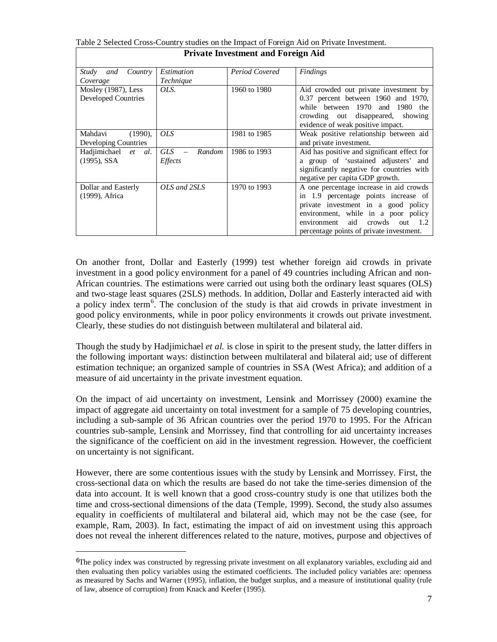|                                               |                                                             | Private investment and Foreign Aid |                                                                                                                                                                                                                                                        |
|-----------------------------------------------|-------------------------------------------------------------|------------------------------------|--------------------------------------------------------------------------------------------------------------------------------------------------------------------------------------------------------------------------------------------------------|
| Country<br>Study<br>and                       | Estimation                                                  | Period Covered                     | <b>Findings</b>                                                                                                                                                                                                                                        |
| Coverage                                      | Technique                                                   |                                    |                                                                                                                                                                                                                                                        |
| Mosley $(1987)$ , Less<br>Developed Countries | OLS.                                                        | 1960 to 1980                       | Aid crowded out private investment by<br>0.37 percent between 1960 and 1970,<br>while between 1970 and 1980 the<br>crowding out disappeared, showing<br>evidence of weak positive impact.                                                              |
| Mahdavi<br>$(1990)$ ,<br>Developing Countries | <i>OLS</i>                                                  | 1981 to 1985                       | Weak positive relationship between aid<br>and private investment.                                                                                                                                                                                      |
| Hadjimichael et al.<br>$(1995)$ , SSA         | GLS<br>Random<br>$\overline{\phantom{a}}$<br><i>Effects</i> | 1986 to 1993                       | Aid has positive and significant effect for<br>a group of 'sustained adjusters' and<br>significantly negative for countries with<br>negative per capita GDP growth.                                                                                    |
| Dollar and Easterly<br>(1999), Africa         | OLS and 2SLS                                                | 1970 to 1993                       | A one percentage increase in aid crowds<br>in 1.9 percentage points increase of<br>private investment in a good policy<br>environment, while in a poor policy<br>crowds<br>aid<br>out $1.2$<br>environment<br>percentage points of private investment. |

Table 2 Selected Cross-Country studies on the Impact of Foreign Aid on Private Investment. **Private Investment and Foreign Aid**

On another front, Dollar and Easterly (1999) test whether foreign aid crowds in private investment in a good policy environment for a panel of 49 countries including African and non-African countries. The estimations were carried out using both the ordinary least squares (OLS) and two-stage least squares (2SLS) methods. In addition, Dollar and Easterly interacted aid with a policy index term<sup>6</sup>. The conclusion of the study is that aid crowds in private investment in good policy environments, while in poor policy environments it crowds out private investment. Clearly, these studies do not distinguish between multilateral and bilateral aid.

Though the study by Hadjimichael *et al.* is close in spirit to the present study, the latter differs in the following important ways: distinction between multilateral and bilateral aid; use of different estimation technique; an organized sample of countries in SSA (West Africa); and addition of a measure of aid uncertainty in the private investment equation.

On the impact of aid uncertainty on investment, Lensink and Morrissey (2000) examine the impact of aggregate aid uncertainty on total investment for a sample of 75 developing countries, including a sub-sample of 36 African countries over the period 1970 to 1995. For the African countries sub-sample, Lensink and Morrissey, find that controlling for aid uncertainty increases the significance of the coefficient on aid in the investment regression. However, the coefficient on uncertainty is not significant.

However, there are some contentious issues with the study by Lensink and Morrissey. First, the cross-sectional data on which the results are based do not take the time-series dimension of the data into account. It is well known that a good cross-country study is one that utilizes both the time and cross-sectional dimensions of the data (Temple, 1999). Second, the study also assumes equality in coefficients of multilateral and bilateral aid, which may not be the case (see, for example, Ram, 2003). In fact, estimating the impact of aid on investment using this approach does not reveal the inherent differences related to the nature, motives, purpose and objectives of

-

<sup>&</sup>lt;sup>6</sup>The policy index was constructed by regressing private investment on all explanatory variables, excluding aid and then evaluating then policy variables using the estimated coefficients. The included policy variables are: openness as measured by Sachs and Warner (1995), inflation, the budget surplus, and a measure of institutional quality (rule of law, absence of corruption) from Knack and Keefer (1995).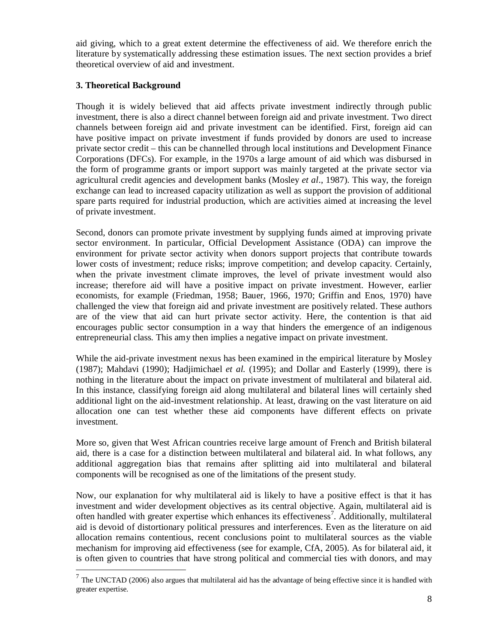aid giving, which to a great extent determine the effectiveness of aid. We therefore enrich the literature by systematically addressing these estimation issues. The next section provides a brief theoretical overview of aid and investment.

## **3. Theoretical Background**

Though it is widely believed that aid affects private investment indirectly through public investment, there is also a direct channel between foreign aid and private investment. Two direct channels between foreign aid and private investment can be identified. First, foreign aid can have positive impact on private investment if funds provided by donors are used to increase private sector credit – this can be channelled through local institutions and Development Finance Corporations (DFCs). For example, in the 1970s a large amount of aid which was disbursed in the form of programme grants or import support was mainly targeted at the private sector via agricultural credit agencies and development banks (Mosley *et al*., 1987). This way, the foreign exchange can lead to increased capacity utilization as well as support the provision of additional spare parts required for industrial production, which are activities aimed at increasing the level of private investment.

Second, donors can promote private investment by supplying funds aimed at improving private sector environment. In particular, Official Development Assistance (ODA) can improve the environment for private sector activity when donors support projects that contribute towards lower costs of investment; reduce risks; improve competition; and develop capacity. Certainly, when the private investment climate improves, the level of private investment would also increase; therefore aid will have a positive impact on private investment. However, earlier economists, for example (Friedman, 1958; Bauer, 1966, 1970; Griffin and Enos, 1970) have challenged the view that foreign aid and private investment are positively related. These authors are of the view that aid can hurt private sector activity. Here, the contention is that aid encourages public sector consumption in a way that hinders the emergence of an indigenous entrepreneurial class. This amy then implies a negative impact on private investment.

While the aid-private investment nexus has been examined in the empirical literature by Mosley (1987); Mahdavi (1990); Hadjimichael *et al.* (1995); and Dollar and Easterly (1999), there is nothing in the literature about the impact on private investment of multilateral and bilateral aid. In this instance, classifying foreign aid along multilateral and bilateral lines will certainly shed additional light on the aid-investment relationship. At least, drawing on the vast literature on aid allocation one can test whether these aid components have different effects on private investment.

More so, given that West African countries receive large amount of French and British bilateral aid, there is a case for a distinction between multilateral and bilateral aid. In what follows, any additional aggregation bias that remains after splitting aid into multilateral and bilateral components will be recognised as one of the limitations of the present study.

Now, our explanation for why multilateral aid is likely to have a positive effect is that it has investment and wider development objectives as its central objective. Again, multilateral aid is often handled with greater expertise which enhances its effectiveness<sup>7</sup>. Additionally, multilateral aid is devoid of distortionary political pressures and interferences. Even as the literature on aid allocation remains contentious, recent conclusions point to multilateral sources as the viable mechanism for improving aid effectiveness (see for example, CfA, 2005). As for bilateral aid, it is often given to countries that have strong political and commercial ties with donors, and may

The UNCTAD (2006) also argues that multilateral aid has the advantage of being effective since it is handled with <sup>7</sup> greater expertise.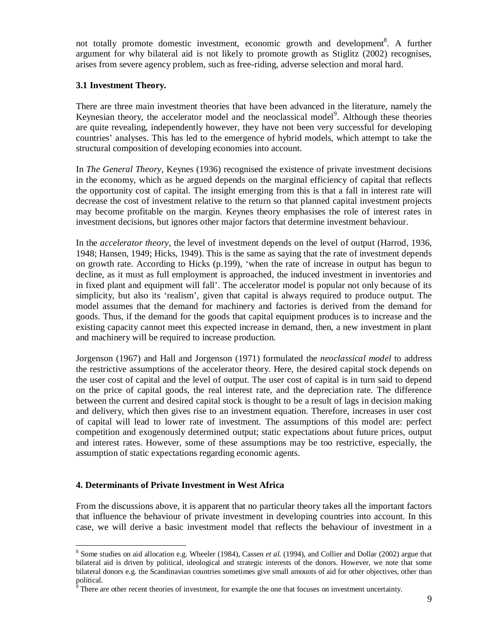not totally promote domestic investment, economic growth and development<sup>8</sup>. A further argument for why bilateral aid is not likely to promote growth as Stiglitz (2002) recognises, arises from severe agency problem, such as free-riding, adverse selection and moral hard.

### **3.1 Investment Theory.**

There are three main investment theories that have been advanced in the literature, namely the Keynesian theory, the accelerator model and the neoclassical model<sup>9</sup>. Although these theories are quite revealing, independently however, they have not been very successful for developing countries' analyses. This has led to the emergence of hybrid models, which attempt to take the structural composition of developing economies into account.

In *The General Theory*, Keynes (1936) recognised the existence of private investment decisions in the economy, which as he argued depends on the marginal efficiency of capital that reflects the opportunity cost of capital. The insight emerging from this is that a fall in interest rate will decrease the cost of investment relative to the return so that planned capital investment projects may become profitable on the margin. Keynes theory emphasises the role of interest rates in investment decisions, but ignores other major factors that determine investment behaviour.

In the *accelerator theory*, the level of investment depends on the level of output (Harrod, 1936, 1948; Hansen, 1949; Hicks, 1949). This is the same as saying that the rate of investment depends on growth rate. According to Hicks (p.199), 'when the rate of increase in output has begun to decline, as it must as full employment is approached, the induced investment in inventories and in fixed plant and equipment will fall'. The accelerator model is popular not only because of its simplicity, but also its 'realism', given that capital is always required to produce output. The model assumes that the demand for machinery and factories is derived from the demand for goods. Thus, if the demand for the goods that capital equipment produces is to increase and the existing capacity cannot meet this expected increase in demand, then, a new investment in plant and machinery will be required to increase production.

Jorgenson (1967) and Hall and Jorgenson (1971) formulated the *neoclassical model* to address the restrictive assumptions of the accelerator theory. Here, the desired capital stock depends on the user cost of capital and the level of output. The user cost of capital is in turn said to depend on the price of capital goods, the real interest rate, and the depreciation rate. The difference between the current and desired capital stock is thought to be a result of lags in decision making and delivery, which then gives rise to an investment equation. Therefore, increases in user cost of capital will lead to lower rate of investment. The assumptions of this model are: perfect competition and exogenously determined output; static expectations about future prices, output and interest rates. However, some of these assumptions may be too restrictive, especially, the assumption of static expectations regarding economic agents.

### **4. Determinants of Private Investment in West Africa**

From the discussions above, it is apparent that no particular theory takes all the important factors that influence the behaviour of private investment in developing countries into account. In this case, we will derive a basic investment model that reflects the behaviour of investment in a

<sup>-</sup><sup>8</sup> Some studies on aid allocation e.g. Wheeler (1984), Cassen *et al.* (1994), and Collier and Dollar (2002) argue that bilateral aid is driven by political, ideological and strategic interests of the donors. However, we note that some bilateral donors e.g. the Scandinavian countries sometimes give small amounts of aid for other objectives, other than political.

There are other recent theories of investment, for example the one that focuses on investment uncertainty.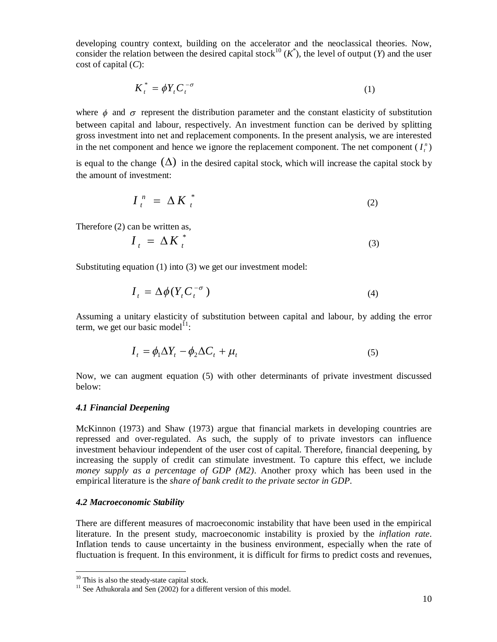developing country context, building on the accelerator and the neoclassical theories. Now, consider the relation between the desired capital stock<sup>10</sup> ( $K^*$ ), the level of output (*Y*) and the user cost of capital (*C*):

$$
K_t^* = \phi Y_t C_t^{-\sigma} \tag{1}
$$

where  $\phi$  and  $\sigma$  represent the distribution parameter and the constant elasticity of substitution between capital and labour, respectively. An investment function can be derived by splitting gross investment into net and replacement components. In the present analysis, we are interested in the net component and hence we ignore the replacement component. The net component  $(I_i^n)$ 

is equal to the change  $(\Delta)$  in the desired capital stock, which will increase the capital stock by the amount of investment:

$$
I_t^n = \Delta K_t^*
$$
 (2)

Therefore (2) can be written as,

$$
I_t = \Delta K_t^* \tag{3}
$$

Substituting equation (1) into (3) we get our investment model:

$$
I_t = \Delta \phi (Y_t C_t^{-\sigma})
$$
\n(4)

Assuming a unitary elasticity of substitution between capital and labour, by adding the error term, we get our basic model $^{11}$ :

$$
I_t = \phi_1 \Delta Y_t - \phi_2 \Delta C_t + \mu_t \tag{5}
$$

Now, we can augment equation (5) with other determinants of private investment discussed below:

#### *4.1 Financial Deepening*

McKinnon (1973) and Shaw (1973) argue that financial markets in developing countries are repressed and over-regulated. As such, the supply of to private investors can influence investment behaviour independent of the user cost of capital. Therefore, financial deepening, by increasing the supply of credit can stimulate investment. To capture this effect, we include *money supply as a percentage of GDP (M2)*. Another proxy which has been used in the empirical literature is the *share of bank credit to the private sector in GDP*.

#### *4.2 Macroeconomic Stability*

-

There are different measures of macroeconomic instability that have been used in the empirical literature. In the present study, macroeconomic instability is proxied by the *inflation rate*. Inflation tends to cause uncertainty in the business environment, especially when the rate of fluctuation is frequent. In this environment, it is difficult for firms to predict costs and revenues,

<sup>&</sup>lt;sup>10</sup> This is also the steady-state capital stock.

<sup>&</sup>lt;sup>11</sup> See Athukorala and Sen  $(2002)$  for a different version of this model.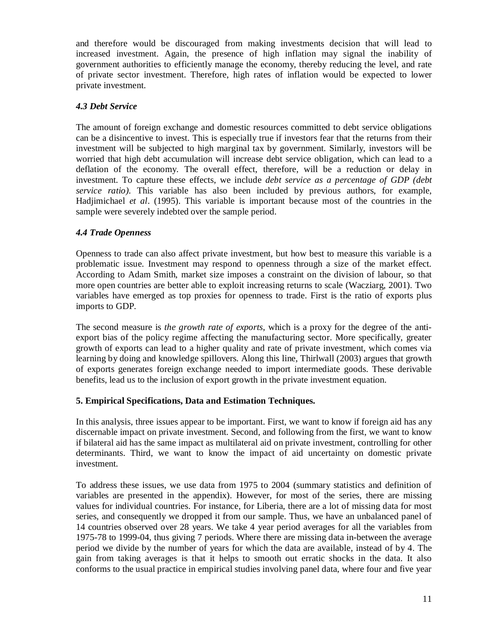and therefore would be discouraged from making investments decision that will lead to increased investment. Again, the presence of high inflation may signal the inability of government authorities to efficiently manage the economy, thereby reducing the level, and rate of private sector investment. Therefore, high rates of inflation would be expected to lower private investment.

## *4.3 Debt Service*

The amount of foreign exchange and domestic resources committed to debt service obligations can be a disincentive to invest. This is especially true if investors fear that the returns from their investment will be subjected to high marginal tax by government. Similarly, investors will be worried that high debt accumulation will increase debt service obligation, which can lead to a deflation of the economy. The overall effect, therefore, will be a reduction or delay in investment. To capture these effects, we include *debt service as a percentage of GDP (debt service ratio)*. This variable has also been included by previous authors, for example, Hadjimichael *et al*. (1995). This variable is important because most of the countries in the sample were severely indebted over the sample period.

## *4.4 Trade Openness*

Openness to trade can also affect private investment, but how best to measure this variable is a problematic issue. Investment may respond to openness through a size of the market effect. According to Adam Smith, market size imposes a constraint on the division of labour, so that more open countries are better able to exploit increasing returns to scale (Wacziarg, 2001). Two variables have emerged as top proxies for openness to trade. First is the ratio of exports plus imports to GDP.

The second measure is *the growth rate of exports*, which is a proxy for the degree of the antiexport bias of the policy regime affecting the manufacturing sector. More specifically, greater growth of exports can lead to a higher quality and rate of private investment, which comes via learning by doing and knowledge spillovers. Along this line, Thirlwall (2003) argues that growth of exports generates foreign exchange needed to import intermediate goods. These derivable benefits, lead us to the inclusion of export growth in the private investment equation.

## **5. Empirical Specifications, Data and Estimation Techniques.**

In this analysis, three issues appear to be important. First, we want to know if foreign aid has any discernable impact on private investment. Second, and following from the first, we want to know if bilateral aid has the same impact as multilateral aid on private investment, controlling for other determinants. Third, we want to know the impact of aid uncertainty on domestic private investment.

To address these issues, we use data from 1975 to 2004 (summary statistics and definition of variables are presented in the appendix). However, for most of the series, there are missing values for individual countries. For instance, for Liberia, there are a lot of missing data for most series, and consequently we dropped it from our sample. Thus, we have an unbalanced panel of 14 countries observed over 28 years. We take 4 year period averages for all the variables from 1975-78 to 1999-04, thus giving 7 periods. Where there are missing data in-between the average period we divide by the number of years for which the data are available, instead of by 4. The gain from taking averages is that it helps to smooth out erratic shocks in the data. It also conforms to the usual practice in empirical studies involving panel data, where four and five year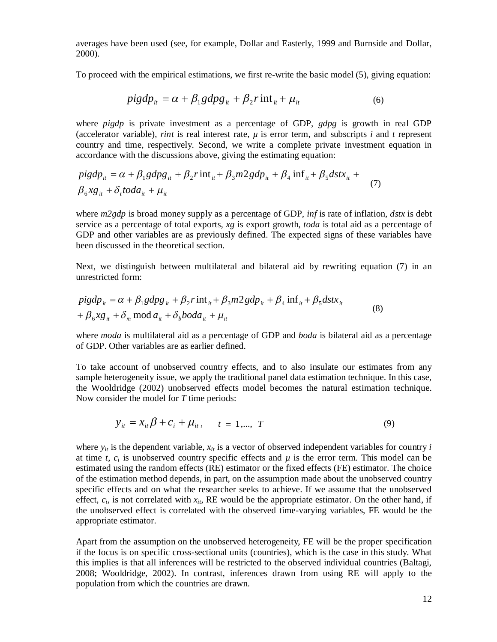averages have been used (see, for example, Dollar and Easterly, 1999 and Burnside and Dollar, 2000).

To proceed with the empirical estimations, we first re-write the basic model (5), giving equation:

$$
pigdp_{it} = \alpha + \beta_1 gdpg_{it} + \beta_2 r \text{int}_{it} + \mu_{it}
$$
 (6)

where *pigdp* is private investment as a percentage of GDP, *gdpg* is growth in real GDP (accelerator variable), *rint* is real interest rate,  $\mu$  is error term, and subscripts *i* and *t* represent country and time, respectively. Second, we write a complete private investment equation in accordance with the discussions above, giving the estimating equation:

$$
pigdp_{it} = \alpha + \beta_1 gdpg_{it} + \beta_2 r \text{int}_{it} + \beta_3 m2gdp_{it} + \beta_4 \text{inf}_{it} + \beta_5 dstx_{it} +
$$
  

$$
\beta_6 xg_{it} + \delta_t to da_{it} + \mu_{it}
$$
 (7)

where *m2gdp* is broad money supply as a percentage of GDP, *inf* is rate of inflation, *dstx* is debt service as a percentage of total exports, *xg* is export growth, *toda* is total aid as a percentage of GDP and other variables are as previously defined. The expected signs of these variables have been discussed in the theoretical section.

Next, we distinguish between multilateral and bilateral aid by rewriting equation (7) in an unrestricted form:

$$
pigdp_{it} = \alpha + \beta_1 gdpg_{it} + \beta_2 r \text{ int}_{it} + \beta_3 m2 gdp_{it} + \beta_4 \text{ inf}_{it} + \beta_5 dstx_{it}
$$
  
+  $\beta_6 xg_{it} + \delta_m \text{ mod } a_{it} + \delta_b boda_{it} + \mu_{it}$  (8)

where *moda* is multilateral aid as a percentage of GDP and *boda* is bilateral aid as a percentage of GDP. Other variables are as earlier defined.

To take account of unobserved country effects, and to also insulate our estimates from any sample heterogeneity issue, we apply the traditional panel data estimation technique. In this case, the Wooldridge (2002) unobserved effects model becomes the natural estimation technique. Now consider the model for *T* time periods:

$$
y_{it} = x_{it} \beta + c_i + \mu_{it}, \qquad t = 1, ..., T
$$
 (9)

where  $y_i$  is the dependent variable,  $x_i$  is a vector of observed independent variables for country *i* at time *t*,  $c_i$  is unobserved country specific effects and  $\mu$  is the error term. This model can be estimated using the random effects (RE) estimator or the fixed effects (FE) estimator. The choice of the estimation method depends, in part, on the assumption made about the unobserved country specific effects and on what the researcher seeks to achieve. If we assume that the unobserved effect,  $c_i$ , is not correlated with  $x_i$ , RE would be the appropriate estimator. On the other hand, if the unobserved effect is correlated with the observed time-varying variables, FE would be the appropriate estimator.

Apart from the assumption on the unobserved heterogeneity, FE will be the proper specification if the focus is on specific cross-sectional units (countries), which is the case in this study. What this implies is that all inferences will be restricted to the observed individual countries (Baltagi, 2008; Wooldridge, 2002). In contrast, inferences drawn from using RE will apply to the population from which the countries are drawn.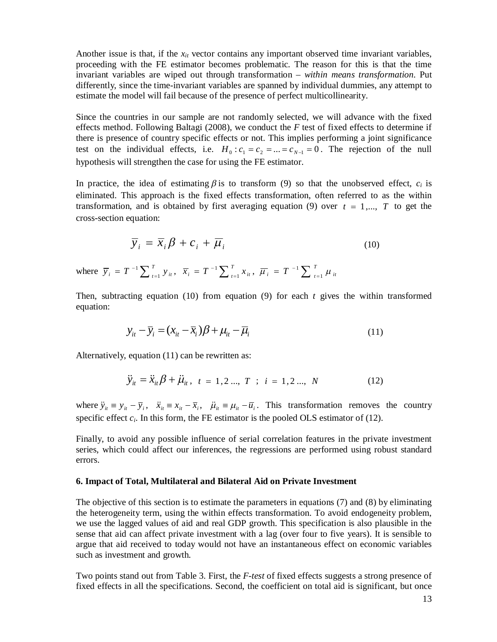Another issue is that, if the *xit* vector contains any important observed time invariant variables, proceeding with the FE estimator becomes problematic. The reason for this is that the time invariant variables are wiped out through transformation – *within means transformation*. Put differently, since the time-invariant variables are spanned by individual dummies, any attempt to estimate the model will fail because of the presence of perfect multicollinearity.

Since the countries in our sample are not randomly selected, we will advance with the fixed effects method. Following Baltagi (2008), we conduct the *F* test of fixed effects to determine if there is presence of country specific effects or not. This implies performing a joint significance test on the individual effects, i.e.  $H_0: c_1 = c_2 = ... = c_{N-1} = 0$ . The rejection of the null hypothesis will strengthen the case for using the FE estimator.

In practice, the idea of estimating  $\beta$  is to transform (9) so that the unobserved effect,  $c_i$  is eliminated. This approach is the fixed effects transformation, often referred to as the within transformation, and is obtained by first averaging equation (9) over  $t = 1, \ldots, T$  to get the cross-section equation:

$$
\overline{y}_i = \overline{x}_i \beta + c_i + \overline{\mu}_i \tag{10}
$$

where  $\overline{y}_i = T^{-1} \sum_{t=1}^T y_{it}$ ,  $\overline{y}_i = T^{-1} \sum_{t=1}^T y_{it}, \ \ \overline{x}_i = T^{-1} \sum_{t=1}^T x_{it},$  $\overline{x}_i = T^{-1} \sum_{t=1}^T x_{it}$ ,  $\overline{\mu}_i = T^{-1} \sum_{t=1}^T x_{it}$  $\overline{\mu}_{i}$  = T  $^{-1} \sum \frac{I}{I=1} \mu_{it}$ 

Then, subtracting equation (10) from equation (9) for each *t* gives the within transformed equation:

$$
y_{it} - \overline{y}_i = (x_{it} - \overline{x}_i)\beta + \mu_{it} - \overline{\mu}_i
$$
\n(11)

Alternatively, equation (11) can be rewritten as:

$$
\ddot{y}_{it} = \ddot{x}_{it} \beta + \ddot{\mu}_{it}, \quad t = 1, 2 \dots, T \quad ; \quad i = 1, 2 \dots, N \tag{12}
$$

where  $\ddot{y}_i \equiv y_i - \overline{y}_i$ ,  $\ddot{x}_i \equiv x_i - \overline{x}_i$ ,  $\ddot{\mu}_i \equiv \mu_i - \overline{u}_i$ . This transformation removes the country specific effect  $c_i$ . In this form, the FE estimator is the pooled OLS estimator of (12).

Finally, to avoid any possible influence of serial correlation features in the private investment series, which could affect our inferences, the regressions are performed using robust standard errors.

#### **6. Impact of Total, Multilateral and Bilateral Aid on Private Investment**

The objective of this section is to estimate the parameters in equations (7) and (8) by eliminating the heterogeneity term, using the within effects transformation. To avoid endogeneity problem, we use the lagged values of aid and real GDP growth. This specification is also plausible in the sense that aid can affect private investment with a lag (over four to five years). It is sensible to argue that aid received to today would not have an instantaneous effect on economic variables such as investment and growth.

Two points stand out from Table 3. First, the *F-test* of fixed effects suggests a strong presence of fixed effects in all the specifications. Second, the coefficient on total aid is significant, but once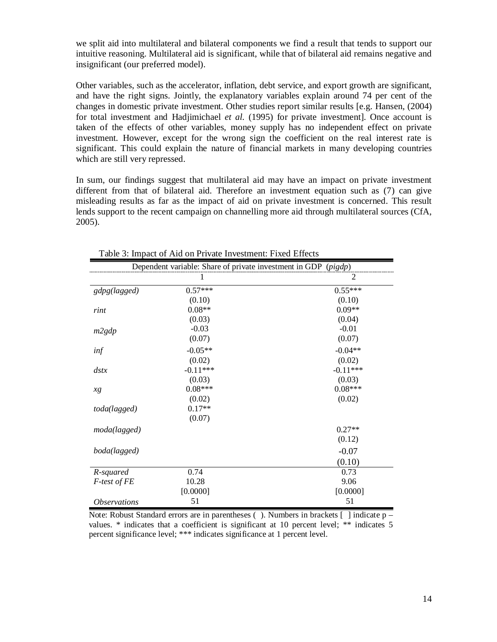we split aid into multilateral and bilateral components we find a result that tends to support our intuitive reasoning. Multilateral aid is significant, while that of bilateral aid remains negative and insignificant (our preferred model).

Other variables, such as the accelerator, inflation, debt service, and export growth are significant, and have the right signs. Jointly, the explanatory variables explain around 74 per cent of the changes in domestic private investment. Other studies report similar results [e.g. Hansen, (2004) for total investment and Hadjimichael *et al.* (1995) for private investment]. Once account is taken of the effects of other variables, money supply has no independent effect on private investment. However, except for the wrong sign the coefficient on the real interest rate is significant. This could explain the nature of financial markets in many developing countries which are still very repressed.

In sum, our findings suggest that multilateral aid may have an impact on private investment different from that of bilateral aid. Therefore an investment equation such as (7) can give misleading results as far as the impact of aid on private investment is concerned. This result lends support to the recent campaign on channelling more aid through multilateral sources (CfA, 2005).

| Dependent variable: Share of private investment in GDP (pigdp) |            |                |  |
|----------------------------------------------------------------|------------|----------------|--|
|                                                                |            | $\overline{2}$ |  |
| gdpg(lagged)                                                   | $0.57***$  | $0.55***$      |  |
|                                                                | (0.10)     | (0.10)         |  |
| rint                                                           | $0.08**$   | $0.09**$       |  |
|                                                                | (0.03)     | (0.04)         |  |
| m2gdp                                                          | $-0.03$    | $-0.01$        |  |
|                                                                | (0.07)     | (0.07)         |  |
| inf                                                            | $-0.05**$  | $-0.04**$      |  |
|                                                                | (0.02)     | (0.02)         |  |
| $\frac{d}{dx}$                                                 | $-0.11***$ | $-0.11***$     |  |
|                                                                | (0.03)     | (0.03)         |  |
| xg                                                             | $0.08***$  | $0.08***$      |  |
|                                                                | (0.02)     | (0.02)         |  |
| $0.17**$<br>toda(lagged)                                       |            |                |  |
|                                                                | (0.07)     |                |  |
| moda(lagged)                                                   |            | $0.27**$       |  |
|                                                                |            | (0.12)         |  |
| boda(lagged)                                                   |            | $-0.07$        |  |
|                                                                |            | (0.10)         |  |
| R-squared                                                      | 0.74       | 0.73           |  |
| F-test of FE                                                   | 10.28      | 9.06           |  |
|                                                                | [0.0000]   | [0.0000]       |  |
| <i><b>Observations</b></i>                                     | 51         | 51             |  |

Table 3: Impact of Aid on Private Investment: Fixed Effects

Note: Robust Standard errors are in parentheses (). Numbers in brackets  $\lceil \cdot \rceil$  indicate p values. \* indicates that a coefficient is significant at 10 percent level; \*\* indicates 5 percent significance level; \*\*\* indicates significance at 1 percent level.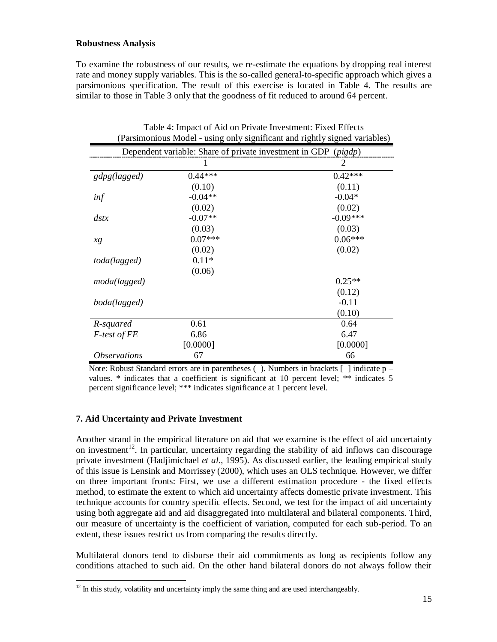### **Robustness Analysis**

To examine the robustness of our results, we re-estimate the equations by dropping real interest rate and money supply variables. This is the so-called general-to-specific approach which gives a parsimonious specification. The result of this exercise is located in Table 4. The results are similar to those in Table 3 only that the goodness of fit reduced to around 64 percent.

|                            |                                                                | (Parsimonious Moder - using only significant and rightly signed variables) |
|----------------------------|----------------------------------------------------------------|----------------------------------------------------------------------------|
|                            | Dependent variable: Share of private investment in GDP (pigdp) |                                                                            |
|                            | I                                                              | 2                                                                          |
| gdpg(lagged)               | $0.44***$                                                      | $0.42***$                                                                  |
|                            | (0.10)                                                         | (0.11)                                                                     |
| inf                        | $-0.04**$                                                      | $-0.04*$                                                                   |
|                            | (0.02)                                                         | (0.02)                                                                     |
| $\frac{d}{dx}$             | $-0.07**$                                                      | $-0.09***$                                                                 |
|                            | (0.03)                                                         | (0.03)                                                                     |
| хg                         | $0.07***$                                                      | $0.06***$                                                                  |
|                            | (0.02)                                                         | (0.02)                                                                     |
| toda(lagged)               | $0.11*$                                                        |                                                                            |
|                            | (0.06)                                                         |                                                                            |
| moda(lagged)               |                                                                | $0.25**$                                                                   |
|                            |                                                                | (0.12)                                                                     |
| boda(lagged)               |                                                                | $-0.11$                                                                    |
|                            |                                                                | (0.10)                                                                     |
| R-squared                  | 0.61                                                           | 0.64                                                                       |
| F-test of FE               | 6.86                                                           | 6.47                                                                       |
|                            | [0.0000]                                                       | [0.0000]                                                                   |
| <i><b>Observations</b></i> | 67                                                             | 66                                                                         |

| Table 4: Impact of Aid on Private Investment: Fixed Effects                |
|----------------------------------------------------------------------------|
| (Parsimonious Model - using only significant and rightly signed variables) |

Note: Robust Standard errors are in parentheses ( ). Numbers in brackets [ ] indicate p – values. \* indicates that a coefficient is significant at 10 percent level; \*\* indicates 5 percent significance level; \*\*\* indicates significance at 1 percent level.

## **7. Aid Uncertainty and Private Investment**

Another strand in the empirical literature on aid that we examine is the effect of aid uncertainty on investment<sup>12</sup>. In particular, uncertainty regarding the stability of aid inflows can discourage private investment (Hadjimichael *et al*., 1995). As discussed earlier, the leading empirical study of this issue is Lensink and Morrissey (2000), which uses an OLS technique. However, we differ on three important fronts: First, we use a different estimation procedure - the fixed effects method, to estimate the extent to which aid uncertainty affects domestic private investment. This technique accounts for country specific effects. Second, we test for the impact of aid uncertainty using both aggregate aid and aid disaggregated into multilateral and bilateral components. Third, our measure of uncertainty is the coefficient of variation, computed for each sub-period. To an extent, these issues restrict us from comparing the results directly.

Multilateral donors tend to disburse their aid commitments as long as recipients follow any conditions attached to such aid. On the other hand bilateral donors do not always follow their

<sup>-</sup> $12$  In this study, volatility and uncertainty imply the same thing and are used interchangeably.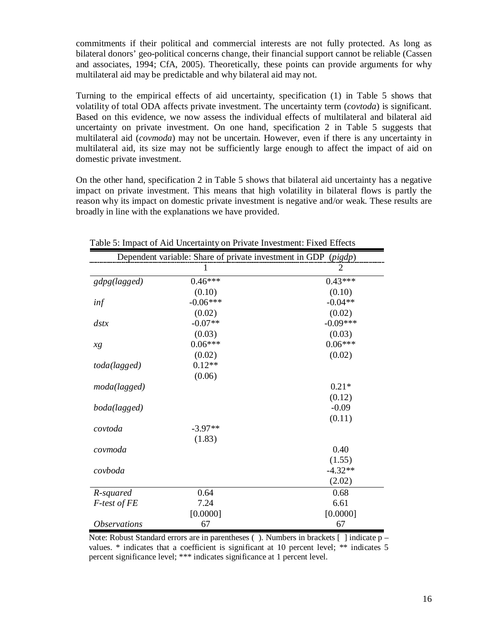commitments if their political and commercial interests are not fully protected. As long as bilateral donors' geo-political concerns change, their financial support cannot be reliable (Cassen and associates, 1994; CfA, 2005). Theoretically, these points can provide arguments for why multilateral aid may be predictable and why bilateral aid may not.

Turning to the empirical effects of aid uncertainty, specification (1) in Table 5 shows that volatility of total ODA affects private investment. The uncertainty term (*covtoda*) is significant. Based on this evidence, we now assess the individual effects of multilateral and bilateral aid uncertainty on private investment. On one hand, specification 2 in Table 5 suggests that multilateral aid (*covmoda*) may not be uncertain. However, even if there is any uncertainty in multilateral aid, its size may not be sufficiently large enough to affect the impact of aid on domestic private investment.

On the other hand, specification 2 in Table 5 shows that bilateral aid uncertainty has a negative impact on private investment. This means that high volatility in bilateral flows is partly the reason why its impact on domestic private investment is negative and/or weak. These results are broadly in line with the explanations we have provided.

|                            | Dependent variable: Share of private investment in GDP (pigdp) |                |  |  |
|----------------------------|----------------------------------------------------------------|----------------|--|--|
|                            | 1                                                              | $\overline{2}$ |  |  |
| gdpg(lagged)               | $0.46***$                                                      | $0.43***$      |  |  |
|                            | (0.10)                                                         | (0.10)         |  |  |
| inf                        | $-0.06***$                                                     | $-0.04**$      |  |  |
|                            | (0.02)                                                         | (0.02)         |  |  |
| $\frac{d}{dx}$             | $-0.07**$                                                      | $-0.09***$     |  |  |
|                            | (0.03)                                                         | (0.03)         |  |  |
| xg                         | $0.06***$                                                      | $0.06***$      |  |  |
|                            | (0.02)                                                         | (0.02)         |  |  |
| toda(lagged)               | $0.12**$                                                       |                |  |  |
|                            | (0.06)                                                         |                |  |  |
| moda(lagged)               |                                                                | $0.21*$        |  |  |
|                            |                                                                | (0.12)         |  |  |
| boda(lagged)               |                                                                | $-0.09$        |  |  |
|                            |                                                                | (0.11)         |  |  |
| covtoda                    | $-3.97**$                                                      |                |  |  |
|                            | (1.83)                                                         |                |  |  |
| covmoda                    |                                                                | 0.40           |  |  |
|                            |                                                                | (1.55)         |  |  |
| covboda                    |                                                                | $-4.32**$      |  |  |
|                            |                                                                | (2.02)         |  |  |
| R-squared                  | 0.64                                                           | 0.68           |  |  |
| F-test of FE               | 7.24                                                           | 6.61           |  |  |
|                            | [0.0000]                                                       | [0.0000]       |  |  |
| <i><b>Observations</b></i> | 67                                                             | 67             |  |  |

Table 5: Impact of Aid Uncertainty on Private Investment: Fixed Effects

Note: Robust Standard errors are in parentheses ( ). Numbers in brackets [ ] indicate p – values. \* indicates that a coefficient is significant at 10 percent level; \*\* indicates 5 percent significance level; \*\*\* indicates significance at 1 percent level.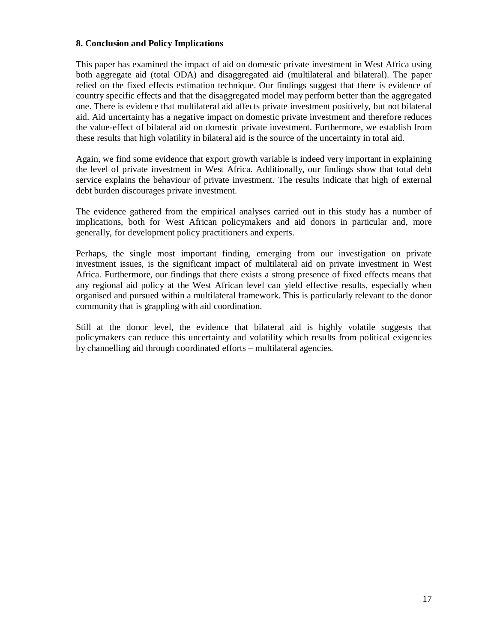### **8. Conclusion and Policy Implications**

This paper has examined the impact of aid on domestic private investment in West Africa using both aggregate aid (total ODA) and disaggregated aid (multilateral and bilateral). The paper relied on the fixed effects estimation technique. Our findings suggest that there is evidence of country specific effects and that the disaggregated model may perform better than the aggregated one. There is evidence that multilateral aid affects private investment positively, but not bilateral aid. Aid uncertainty has a negative impact on domestic private investment and therefore reduces the value-effect of bilateral aid on domestic private investment. Furthermore, we establish from these results that high volatility in bilateral aid is the source of the uncertainty in total aid.

Again, we find some evidence that export growth variable is indeed very important in explaining the level of private investment in West Africa. Additionally, our findings show that total debt service explains the behaviour of private investment. The results indicate that high of external debt burden discourages private investment.

The evidence gathered from the empirical analyses carried out in this study has a number of implications, both for West African policymakers and aid donors in particular and, more generally, for development policy practitioners and experts.

Perhaps, the single most important finding, emerging from our investigation on private investment issues, is the significant impact of multilateral aid on private investment in West Africa. Furthermore, our findings that there exists a strong presence of fixed effects means that any regional aid policy at the West African level can yield effective results, especially when organised and pursued within a multilateral framework. This is particularly relevant to the donor community that is grappling with aid coordination.

Still at the donor level, the evidence that bilateral aid is highly volatile suggests that policymakers can reduce this uncertainty and volatility which results from political exigencies by channelling aid through coordinated efforts – multilateral agencies.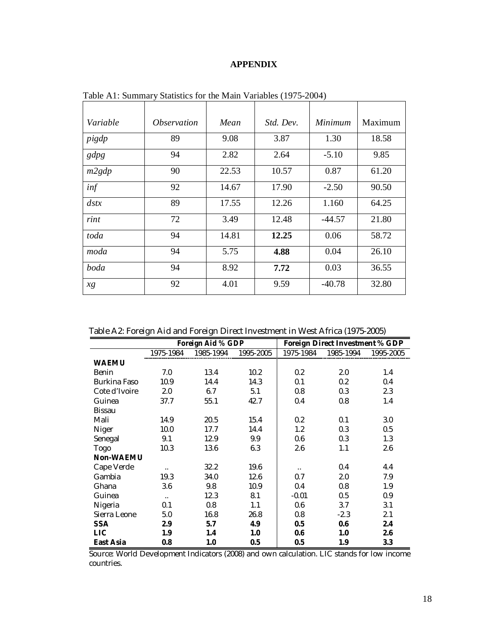# **APPENDIX**

| Variable       | <i><b>Observation</b></i> | Mean  | Std. Dev. | Minimum  | Maximum |
|----------------|---------------------------|-------|-----------|----------|---------|
| pigdp          | 89                        | 9.08  | 3.87      | 1.30     | 18.58   |
| gdpg           | 94                        | 2.82  | 2.64      | $-5.10$  | 9.85    |
| m2gdp          | 90                        | 22.53 | 10.57     | 0.87     | 61.20   |
| inf            | 92                        | 14.67 | 17.90     | $-2.50$  | 90.50   |
| $\frac{d}{dx}$ | 89                        | 17.55 | 12.26     | 1.160    | 64.25   |
| rint           | 72                        | 3.49  | 12.48     | -44.57   | 21.80   |
| toda           | 94                        | 14.81 | 12.25     | 0.06     | 58.72   |
| moda           | 94                        | 5.75  | 4.88      | 0.04     | 26.10   |
| boda           | 94                        | 8.92  | 7.72      | 0.03     | 36.55   |
| xg             | 92                        | 4.01  | 9.59      | $-40.78$ | 32.80   |

Table A1: Summary Statistics for the Main Variables (1975-2004)

|  | Table A2: Foreign Aid and Foreign Direct Investment in West Africa (1975-2005) |
|--|--------------------------------------------------------------------------------|
|  |                                                                                |

|                  | Foreign Aid % GDP |           |           | Foreign Direct Investment % GDP |           |           |
|------------------|-------------------|-----------|-----------|---------------------------------|-----------|-----------|
|                  | 1975-1984         | 1985-1994 | 1995-2005 | 1975-1984                       | 1985-1994 | 1995-2005 |
| <b>WAEMU</b>     |                   |           |           |                                 |           |           |
| Benin            | 7.0               | 13.4      | 10.2      | 0.2                             | 2.0       | 1.4       |
| Burkina Faso     | 10.9              | 14.4      | 14.3      | 0.1                             | 0.2       | 0.4       |
| Cote d'Ivoire    | 2.0               | 6.7       | 5.1       | 0.8                             | 0.3       | 2.3       |
| Guinea           | 37.7              | 55.1      | 42.7      | 0.4                             | 0.8       | 1.4       |
| Bissau           |                   |           |           |                                 |           |           |
| Mali             | 14.9              | 20.5      | 15.4      | 0.2                             | 0.1       | 3.0       |
| Niger            | 10.0              | 17.7      | 14.4      | 1.2                             | 0.3       | 0.5       |
| Senegal          | 9.1               | 12.9      | 9.9       | 0.6                             | 0.3       | 1.3       |
| Togo             | 10.3              | 13.6      | 6.3       | 2.6                             | 1.1       | 2.6       |
| <b>Non-WAEMU</b> |                   |           |           |                                 |           |           |
| Cape Verde       | Ω.                | 32.2      | 19.6      | $\ddot{\phantom{0}}$            | 0.4       | 4.4       |
| Gambia           | 19.3              | 34.0      | 12.6      | 0.7                             | 2.0       | 7.9       |
| Ghana            | 3.6               | 9.8       | 10.9      | 0.4                             | 0.8       | 1.9       |
| Guinea           | $\ddotsc$         | 12.3      | 8.1       | $-0.01$                         | 0.5       | 0.9       |
| Nigeria          | 0.1               | 0.8       | 1.1       | 0.6                             | 3.7       | 3.1       |
| Sierra Leone     | 5.0               | 16.8      | 26.8      | 0.8                             | $-2.3$    | 2.1       |
| <b>SSA</b>       | 2.9               | 5.7       | 4.9       | 0.5                             | 0.6       | 2.4       |
| <b>LIC</b>       | 1.9               | 1.4       | 1.0       | 0.6                             | 1.0       | 2.6       |
| <b>East Asia</b> | 0.8               | 1.0       | 0.5       | 0.5                             | 1.9       | 3.3       |

Source: World Development Indicators (2008) and own calculation. LIC stands for low income countries.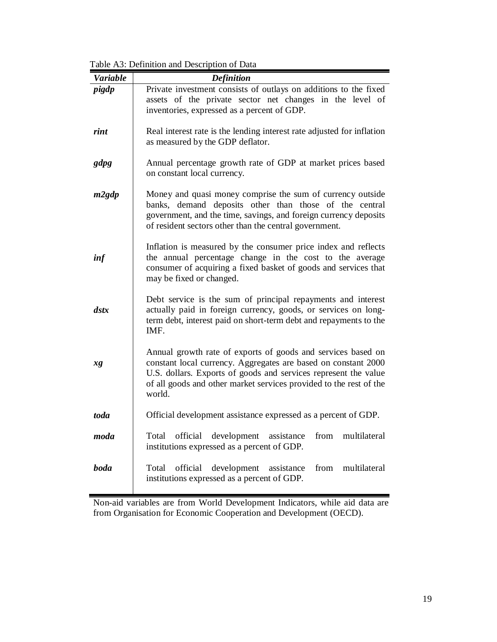Table A3: Definition and Description of Data

| <b>Variable</b>      | <b>Definition</b>                                                                                                                                                                                                                                                                 |
|----------------------|-----------------------------------------------------------------------------------------------------------------------------------------------------------------------------------------------------------------------------------------------------------------------------------|
| pigdp                | Private investment consists of outlays on additions to the fixed<br>assets of the private sector net changes in the level of<br>inventories, expressed as a percent of GDP.                                                                                                       |
| rint                 | Real interest rate is the lending interest rate adjusted for inflation<br>as measured by the GDP deflator.                                                                                                                                                                        |
| gdpg                 | Annual percentage growth rate of GDP at market prices based<br>on constant local currency.                                                                                                                                                                                        |
| m2gdp                | Money and quasi money comprise the sum of currency outside<br>banks, demand deposits other than those of the central<br>government, and the time, savings, and foreign currency deposits<br>of resident sectors other than the central government.                                |
| inf                  | Inflation is measured by the consumer price index and reflects<br>the annual percentage change in the cost to the average<br>consumer of acquiring a fixed basket of goods and services that<br>may be fixed or changed.                                                          |
| $\boldsymbol{d}$ stx | Debt service is the sum of principal repayments and interest<br>actually paid in foreign currency, goods, or services on long-<br>term debt, interest paid on short-term debt and repayments to the<br>IMF.                                                                       |
| xg                   | Annual growth rate of exports of goods and services based on<br>constant local currency. Aggregates are based on constant 2000<br>U.S. dollars. Exports of goods and services represent the value<br>of all goods and other market services provided to the rest of the<br>world. |
| toda                 | Official development assistance expressed as a percent of GDP.                                                                                                                                                                                                                    |
| moda                 | Total official development assistance from multilateral<br>institutions expressed as a percent of GDP.                                                                                                                                                                            |
| <b>boda</b>          | official<br>development<br>from<br>Total<br>assistance<br>multilateral<br>institutions expressed as a percent of GDP.                                                                                                                                                             |

Non-aid variables are from World Development Indicators, while aid data are from Organisation for Economic Cooperation and Development (OECD).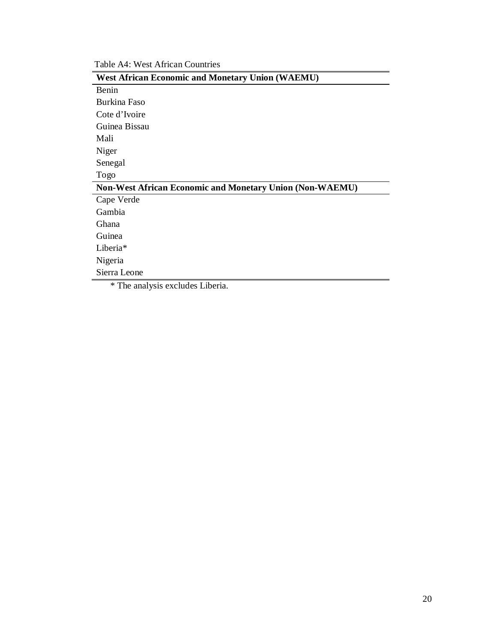Table A4: West African Countries

| <b>West African Economic and Monetary Union (WAEMU)</b>  |
|----------------------------------------------------------|
| Benin                                                    |
| Burkina Faso                                             |
| Cote d'Ivoire                                            |
| Guinea Bissau                                            |
| Mali                                                     |
| Niger                                                    |
| Senegal                                                  |
| Togo                                                     |
| Non-West African Economic and Monetary Union (Non-WAEMU) |
| Cape Verde                                               |
| Gambia                                                   |
| <b>Ghana</b>                                             |
| Guinea                                                   |
| Liberia*                                                 |
| Nigeria                                                  |
| Sierra Leone                                             |
| * The analysis excludes Liberia.                         |

20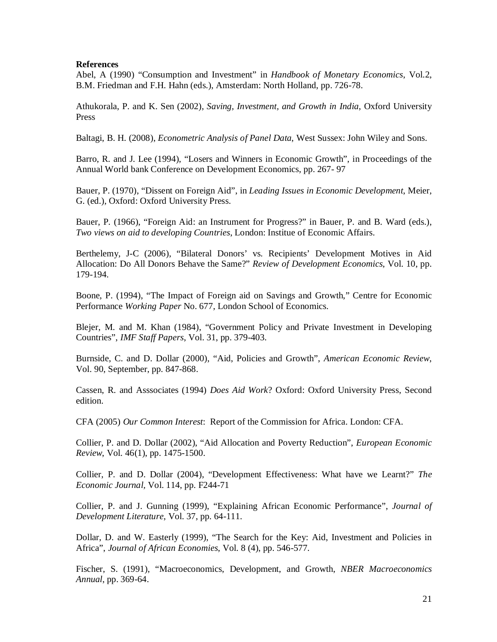#### **References**

Abel, A (1990) "Consumption and Investment" in *Handbook of Monetary Economics*, Vol.2, B.M. Friedman and F.H. Hahn (eds.), Amsterdam: North Holland, pp. 726-78.

Athukorala, P. and K. Sen (2002), *Saving, Investment, and Growth in India*, Oxford University Press

Baltagi, B. H. (2008), *Econometric Analysis of Panel Data*, West Sussex: John Wiley and Sons.

Barro, R. and J. Lee (1994), "Losers and Winners in Economic Growth", in Proceedings of the Annual World bank Conference on Development Economics, pp. 267- 97

Bauer, P. (1970), "Dissent on Foreign Aid", in *Leading Issues in Economic Development*, Meier, G. (ed.), Oxford: Oxford University Press.

Bauer, P. (1966), "Foreign Aid: an Instrument for Progress?" in Bauer, P. and B. Ward (eds.), *Two views on aid to developing Countries*, London: Institue of Economic Affairs.

Berthelemy, J-C (2006), "Bilateral Donors' vs. Recipients' Development Motives in Aid Allocation: Do All Donors Behave the Same?" *Review of Development Economics*, Vol. 10, pp. 179-194.

Boone, P. (1994), "The Impact of Foreign aid on Savings and Growth," Centre for Economic Performance *Working Paper* No. 677, London School of Economics.

Blejer, M. and M. Khan (1984), "Government Policy and Private Investment in Developing Countries", *IMF Staff Papers*, Vol. 31, pp. 379-403.

Burnside, C. and D. Dollar (2000), "Aid, Policies and Growth", *American Economic Review*, Vol. 90, September, pp. 847-868.

Cassen, R. and Asssociates (1994) *Does Aid Work*? Oxford: Oxford University Press, Second edition.

CFA (2005) *Our Common Interest*: Report of the Commission for Africa. London: CFA.

Collier, P. and D. Dollar (2002), "Aid Allocation and Poverty Reduction", *European Economic Review*, Vol. 46(1), pp. 1475-1500.

Collier, P. and D. Dollar (2004), "Development Effectiveness: What have we Learnt?" *The Economic Journal,* Vol. 114, pp. F244-71

Collier, P. and J. Gunning (1999), "Explaining African Economic Performance", *Journal of Development Literature*, Vol. 37, pp. 64-111.

Dollar, D. and W. Easterly (1999), "The Search for the Key: Aid, Investment and Policies in Africa", *Journal of African Economies*, Vol. 8 (4), pp. 546-577.

Fischer, S. (1991), "Macroeconomics, Development, and Growth, *NBER Macroeconomics Annual*, pp. 369-64.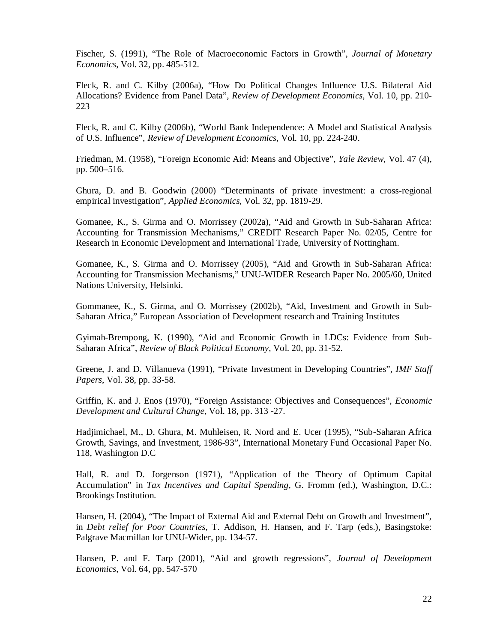Fischer, S. (1991), "The Role of Macroeconomic Factors in Growth", *Journal of Monetary Economics*, Vol. 32, pp. 485-512.

Fleck, R. and C. Kilby (2006a), "How Do Political Changes Influence U.S. Bilateral Aid Allocations? Evidence from Panel Data", *Review of Development Economics*, Vol. 10, pp. 210- 223

Fleck, R. and C. Kilby (2006b), "World Bank Independence: A Model and Statistical Analysis of U.S. Influence", *Review of Development Economics*, Vol. 10, pp. 224-240.

Friedman, M. (1958), "Foreign Economic Aid: Means and Objective", *Yale Review*, Vol. 47 (4), pp. 500–516.

Ghura, D. and B. Goodwin (2000) "Determinants of private investment: a cross-regional empirical investigation", *Applied Economics*, Vol. 32, pp. 1819-29.

Gomanee, K., S. Girma and O. Morrissey (2002a), "Aid and Growth in Sub-Saharan Africa: Accounting for Transmission Mechanisms," CREDIT Research Paper No. 02/05, Centre for Research in Economic Development and International Trade, University of Nottingham.

Gomanee, K., S. Girma and O. Morrissey (2005), "Aid and Growth in Sub-Saharan Africa: Accounting for Transmission Mechanisms," UNU-WIDER Research Paper No. 2005/60, United Nations University, Helsinki.

Gommanee, K., S. Girma, and O. Morrissey (2002b), "Aid, Investment and Growth in Sub-Saharan Africa," European Association of Development research and Training Institutes

Gyimah-Brempong, K. (1990), "Aid and Economic Growth in LDCs: Evidence from Sub-Saharan Africa", *Review of Black Political Economy*, Vol. 20, pp. 31-52.

Greene, J. and D. Villanueva (1991), "Private Investment in Developing Countries", *IMF Staff Papers*, Vol. 38, pp. 33-58.

Griffin, K. and J. Enos (1970), "Foreign Assistance: Objectives and Consequences", *Economic Development and Cultural Change*, Vol. 18, pp. 313 -27.

Hadjimichael, M., D. Ghura, M. Muhleisen, R. Nord and E. Ucer (1995), "Sub-Saharan Africa Growth, Savings, and Investment, 1986-93", International Monetary Fund Occasional Paper No. 118, Washington D.C

Hall, R. and D. Jorgenson (1971), "Application of the Theory of Optimum Capital Accumulation" in *Tax Incentives and Capital Spending*, G. Fromm (ed.), Washington, D.C.: Brookings Institution.

Hansen, H. (2004), "The Impact of External Aid and External Debt on Growth and Investment", in *Debt relief for Poor Countries*, T. Addison, H. Hansen, and F. Tarp (eds.), Basingstoke: Palgrave Macmillan for UNU-Wider, pp. 134-57.

Hansen, P. and F. Tarp (2001), "Aid and growth regressions", *Journal of Development Economics*, Vol. 64, pp. 547-570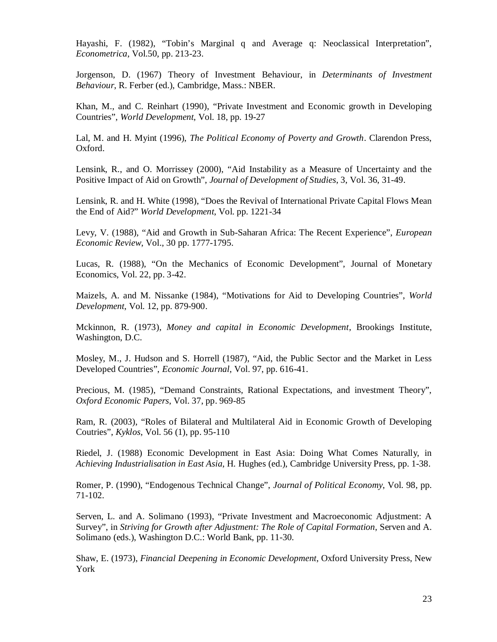Hayashi, F. (1982), "Tobin's Marginal q and Average q: Neoclassical Interpretation", *Econometrica*, Vol.50, pp. 213-23.

Jorgenson, D. (1967) Theory of Investment Behaviour, in *Determinants of Investment Behaviour*, R. Ferber (ed.), Cambridge, Mass.: NBER.

Khan, M., and C. Reinhart (1990), "Private Investment and Economic growth in Developing Countries", *World Development*, Vol. 18, pp. 19-27

Lal, M. and H. Myint (1996), *The Political Economy of Poverty and Growth*. Clarendon Press, Oxford.

Lensink, R., and O. Morrissey (2000), "Aid Instability as a Measure of Uncertainty and the Positive Impact of Aid on Growth", *Journal of Development of Studies*, 3, Vol. 36, 31-49.

Lensink, R. and H. White (1998), "Does the Revival of International Private Capital Flows Mean the End of Aid?" *World Development*, Vol. pp. 1221-34

Levy, V. (1988), "Aid and Growth in Sub-Saharan Africa: The Recent Experience", *European Economic Review*, Vol., 30 pp. 1777-1795.

Lucas, R. (1988), "On the Mechanics of Economic Development", Journal of Monetary Economics, Vol. 22, pp. 3-42.

Maizels, A. and M. Nissanke (1984), "Motivations for Aid to Developing Countries", *World Development*, Vol. 12, pp. 879-900.

Mckinnon, R. (1973), *Money and capital in Economic Development*, Brookings Institute, Washington, D.C.

Mosley, M., J. Hudson and S. Horrell (1987), "Aid, the Public Sector and the Market in Less Developed Countries", *Economic Journal*, Vol. 97, pp. 616-41.

Precious, M. (1985), "Demand Constraints, Rational Expectations, and investment Theory", *Oxford Economic Papers*, Vol. 37, pp. 969-85

Ram, R. (2003), "Roles of Bilateral and Multilateral Aid in Economic Growth of Developing Coutries", *Kyklos*, Vol. 56 (1), pp. 95-110

Riedel, J. (1988) Economic Development in East Asia: Doing What Comes Naturally, in *Achieving Industrialisation in East Asia*, H. Hughes (ed.), Cambridge University Press, pp. 1-38.

Romer, P. (1990), "Endogenous Technical Change", *Journal of Political Economy*, Vol. 98, pp. 71-102.

Serven, L. and A. Solimano (1993), "Private Investment and Macroeconomic Adjustment: A Survey", in *Striving for Growth after Adjustment: The Role of Capital Formation*, Serven and A. Solimano (eds.), Washington D.C.: World Bank, pp. 11-30.

Shaw, E. (1973), *Financial Deepening in Economic Development*, Oxford University Press, New York